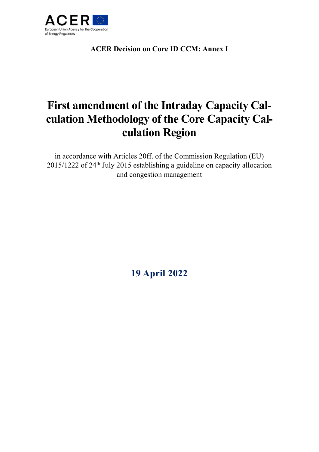

**ACER Decision on Core ID CCM: Annex I**

# **First amendment of the Intraday Capacity Calculation Methodology of the Core Capacity Calculation Region**

in accordance with Articles 20ff. of the Commission Regulation (EU) 2015/1222 of 24th July 2015 establishing a guideline on capacity allocation and congestion management

**19 April 2022**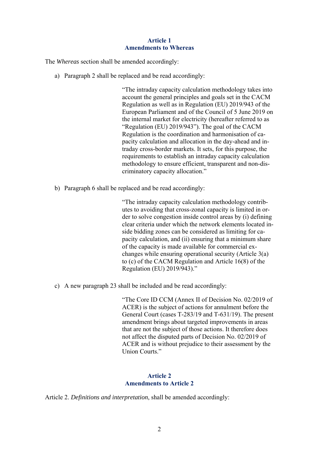## **Article 1 Amendments to Whereas**

The *Whereas* section shall be amended accordingly:

a) Paragraph 2 shall be replaced and be read accordingly:

"The intraday capacity calculation methodology takes into account the general principles and goals set in the CACM Regulation as well as in Regulation (EU) 2019/943 of the European Parliament and of the Council of 5 June 2019 on the internal market for electricity (hereafter referred to as "Regulation (EU) 2019/943"). The goal of the CACM Regulation is the coordination and harmonisation of capacity calculation and allocation in the day-ahead and intraday cross-border markets. It sets, for this purpose, the requirements to establish an intraday capacity calculation methodology to ensure efficient, transparent and non-discriminatory capacity allocation."

b) Paragraph 6 shall be replaced and be read accordingly:

"The intraday capacity calculation methodology contributes to avoiding that cross-zonal capacity is limited in order to solve congestion inside control areas by (i) defining clear criteria under which the network elements located inside bidding zones can be considered as limiting for capacity calculation, and (ii) ensuring that a minimum share of the capacity is made available for commercial exchanges while ensuring operational security (Article 3(a) to (c) of the CACM Regulation and Article 16(8) of the Regulation (EU) 2019/943)."

c) A new paragraph 23 shall be included and be read accordingly:

"The Core ID CCM (Annex II of Decision No. 02/2019 of ACER) is the subject of actions for annulment before the General Court (cases T-283/19 and T-631/19). The present amendment brings about targeted improvements in areas that are not the subject of those actions. It therefore does not affect the disputed parts of Decision No. 02/2019 of ACER and is without prejudice to their assessment by the Union Courts."

## **Article 2 Amendments to Article 2**

Article 2. *Definitions and interpretation*, shall be amended accordingly: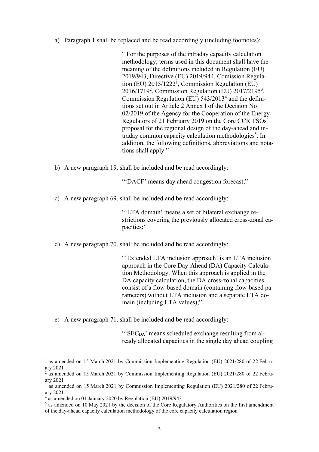a) Paragraph 1 shall be replaced and be read accordingly (including footnotes):

" For the purposes of the intraday capacity calculation methodology, terms used in this document shall have the meaning of the definitions included in Regulation (EU) 2019/943, Directive (EU) 2019/944, Comission Regulation (EU) 2015/1222<sup>1</sup>, Commission Regulation (EU) 2016/1719<sup>2</sup>, Commission Regulation (EU) 2017/2195<sup>3</sup>, Commission Regulation (EU)  $543/2013<sup>4</sup>$  and the definitions set out in Article 2 Annex I of the Decision No 02/2019 of the Agency for the Cooperation of the Energy Regulators of 21 February 2019 on the Core CCR TSOs' proposal for the regional design of the day-ahead and intraday common capacity calculation methodologies<sup>5</sup>. In addition, the following definitions, abbreviations and notations shall apply:"

b) A new paragraph 19. shall be included and be read accordingly:

"'DACF' means day ahead congestion forecast;"

c) A new paragraph 69. shall be included and be read accordingly:

"'LTA domain' means a set of bilateral exchange restrictions covering the previously allocated cross-zonal capacities;"

d) A new paragraph 70. shall be included and be read accordingly:

"'Extended LTA inclusion approach' is an LTA inclusion approach in the Core Day-Ahead (DA) Capacity Calculation Methodology. When this approach is applied in the DA capacity calculation, the DA cross-zonal capacities consist of a flow-based domain (containing flow-based parameters) without LTA inclusion and a separate LTA domain (including LTA values);"

e) A new paragraph 71. shall be included and be read accordingly:

"SEC<sub>DA</sub>' means scheduled exchange resulting from already allocated capacities in the single day ahead coupling

1

<sup>&</sup>lt;sup>1</sup> as amended on 15 March 2021 by Commission Implementing Regulation (EU) 2021/280 of 22 February 2021

<sup>&</sup>lt;sup>2</sup> as amended on 15 March 2021 by Commission Implementing Regulation (EU) 2021/280 of 22 February 2021

<sup>3</sup> as amended on 15 March 2021 by Commission Implementing Regulation (EU) 2021/280 of 22 February 2021

<sup>4</sup> as amended on 01 January 2020 by Regulation (EU) 2019/943

<sup>&</sup>lt;sup>5</sup> as amended on 10 May 2021 by the decision of the Core Regulatory Authorities on the first amendment of the day-ahead capacity calculation methodology of the core capacity calculation region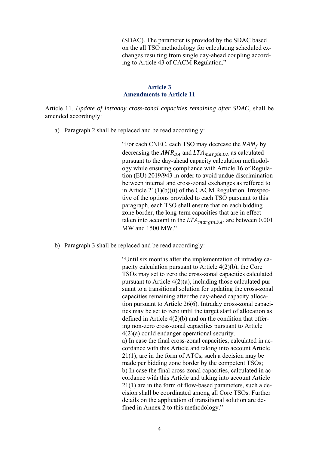(SDAC). The parameter is provided by the SDAC based on the all TSO methodology for calculating scheduled exchanges resulting from single day-ahead coupling according to Article 43 of CACM Regulation."

#### **Article 3 Amendments to Article 11**

Article 11. *Update of intraday cross-zonal capacities remaining after SDAC*, shall be amended accordingly:

a) Paragraph 2 shall be replaced and be read accordingly:

"For each CNEC, each TSO may decrease the  $RAM_f$  by decreasing the  $AMR_{DA}$  and  $LTA_{margin,DA}$  as calculated pursuant to the day-ahead capacity calculation methodology while ensuring compliance with Article 16 of Regulation (EU) 2019/943 in order to avoid undue discrimination between internal and cross-zonal exchanges as reffered to in Article 21(1)(b)(ii) of the CACM Regulation. Irrespective of the options provided to each TSO pursuant to this paragraph, each TSO shall ensure that on each bidding zone border, the long-term capacities that are in effect taken into account in the  $LTA_{margin, DA}$ , are between 0.001 MW and 1500 MW."

b) Paragraph 3 shall be replaced and be read accordingly:

"Until six months after the implementation of intraday capacity calculation pursuant to Article 4(2)(b), the Core TSOs may set to zero the cross-zonal capacities calculated pursuant to Article 4(2)(a), including those calculated pursuant to a transitional solution for updating the cross-zonal capacities remaining after the day-ahead capacity allocation pursuant to Article 26(6). Intraday cross-zonal capacities may be set to zero until the target start of allocation as defined in Article 4(2)(b) and on the condition that offering non-zero cross-zonal capacities pursuant to Article 4(2)(a) could endanger operational security. a) In case the final cross-zonal capacities, calculated in accordance with this Article and taking into account Article 21(1), are in the form of ATCs, such a decision may be made per bidding zone border by the competent TSOs; b) In case the final cross-zonal capacities, calculated in accordance with this Article and taking into account Article 21(1) are in the form of flow-based parameters, such a decision shall be coordinated among all Core TSOs. Further details on the application of transitional solution are defined in Annex 2 to this methodology."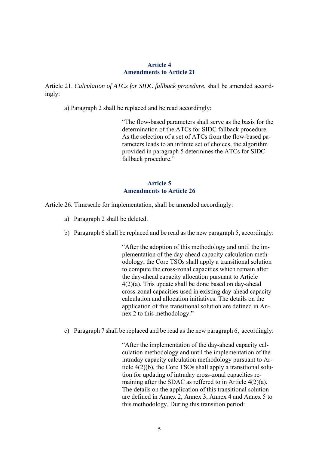## **Article 4 Amendments to Article 21**

Article 21. *Calculation of ATCs for SIDC fallback procedure*, shall be amended accordingly:

a) Paragraph 2 shall be replaced and be read accordingly:

"The flow-based parameters shall serve as the basis for the determination of the ATCs for SIDC fallback procedure. As the selection of a set of ATCs from the flow-based parameters leads to an infinite set of choices, the algorithm provided in paragraph 5 determines the ATCs for SIDC fallback procedure."

## **Article 5 Amendments to Article 26**

Article 26. Timescale for implementation, shall be amended accordingly:

- a) Paragraph 2 shall be deleted.
- b) Paragraph 6 shall be replaced and be read as the new paragraph 5, accordingly:

"After the adoption of this methodology and until the implementation of the day-ahead capacity calculation methodology, the Core TSOs shall apply a transitional solution to compute the cross-zonal capacities which remain after the day-ahead capacity allocation pursuant to Article 4(2)(a). This update shall be done based on day-ahead cross-zonal capacities used in existing day-ahead capacity calculation and allocation initiatives. The details on the application of this transitional solution are defined in Annex 2 to this methodology."

c) Paragraph 7 shall be replaced and be read as the new paragraph 6, accordingly:

"After the implementation of the day-ahead capacity calculation methodology and until the implementation of the intraday capacity calculation methodology pursuant to Article 4(2)(b), the Core TSOs shall apply a transitional solution for updating of intraday cross-zonal capacities remaining after the SDAC as reffered to in Article 4(2)(a). The details on the application of this transitional solution are defined in Annex 2, Annex 3, Annex 4 and Annex 5 to this methodology. During this transition period: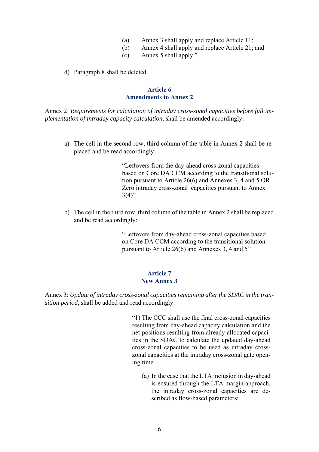- (a) Annex 3 shall apply and replace Article 11;
- (b) Annex 4 shall apply and replace Article 21; and
- (c) Annex 5 shall apply."
- d) Paragraph 8 shall be deleted.

## **Article 6 Amendments to Annex 2**

Annex 2: *Requirements for calculation of intraday cross-zonal capacities before full implementation of intraday capacity calculation*, shall be amended accordingly:

a) The cell in the second row, third column of the table in Annex 2 shall be replaced and be read accordingly:

> "Leftovers from the day-ahead cross-zonal capacities based on Core DA CCM according to the transitional solution pursuant to Article 26(6) and Annexes 3, 4 and 5 OR Zero intraday cross-zonal capacities pursuant to Annex  $3(4)$ "

b) The cell in the third row, third column of the table in Annex 2 shall be replaced and be read accordingly:

> "Leftovers from day-ahead cross-zonal capacities based on Core DA CCM according to the transitional solution pursuant to Article 26(6) and Annexes 3, 4 and 5"

## **Article 7 New Annex 3**

Annex 3: *Update of intraday cross-zonal capacities remaining after the SDAC in the transition period*, shall be added and read accordingly:

> "1) The CCC shall use the final cross-zonal capacities resulting from day-ahead capacity calculation and the net positions resulting from already allocated capacities in the SDAC to calculate the updated day-ahead cross-zonal capacities to be used as intraday crosszonal capacities at the intraday cross-zonal gate opening time.

(a) In the case that the LTA inclusion in day-ahead is ensured through the LTA margin approach, the intraday cross-zonal capacities are described as flow-based parameters;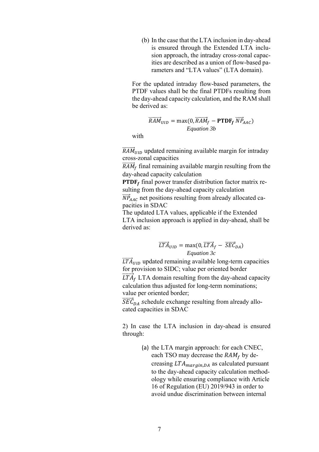(b) In the case that the LTA inclusion in day-ahead is ensured through the Extended LTA inclusion approach, the intraday cross-zonal capacities are described as a union of flow-based parameters and "LTA values" (LTA domain).

For the updated intraday flow-based parameters, the PTDF values shall be the final PTDFs resulting from the day-ahead capacity calculation, and the RAM shall be derived as:

$$
\overrightarrow{RAM}_{UID} = \max(0, \overrightarrow{RAM}_f - \text{PTDF}_f \ \overrightarrow{NP}_{AAC})
$$
  
Equation 3b

with

 $\overline{RAM}_{UID}$  updated remaining available margin for intraday cross-zonal capacities

 $\overline{RAM}_f$  final remaining available margin resulting from the day-ahead capacity calculation

**PTDF** $_f$  final power transfer distribution factor matrix resulting from the day-ahead capacity calculation

 $\overrightarrow{NP}_{AAC}$  net positions resulting from already allocated capacities in SDAC

The updated LTA values, applicable if the Extended LTA inclusion approach is applied in day-ahead, shall be derived as:

$$
\overrightarrow{LTA}_{UID} = \max(0, \overrightarrow{LTA}_f - \overrightarrow{SEC}_{DA})
$$
  
Equation 3c

 $\overrightarrow{LTA}_{UID}$  updated remaining available long-term capacities for provision to SIDC; value per oriented border

 $\overrightarrow{LTA}_f$  LTA domain resulting from the day-ahead capacity calculation thus adjusted for long-term nominations; value per oriented border;

 $\overline{S}\overline{E}\vec{C}_{DA}$  schedule exchange resulting from already allocated capacities in SDAC

2) In case the LTA inclusion in day-ahead is ensured through:

> (a) the LTA margin approach: for each CNEC, each TSO may decrease the  $RAM_f$  by decreasing  $LTA_{margin,DA}$  as calculated pursuant to the day-ahead capacity calculation methodology while ensuring compliance with Article 16 of Regulation (EU) 2019/943 in order to avoid undue discrimination between internal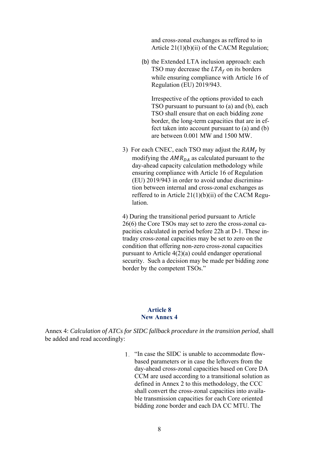and cross-zonal exchanges as reffered to in Article 21(1)(b)(ii) of the CACM Regulation;

(b) the Extended LTA inclusion approach: each TSO may decrease the  $LTA_f$  on its borders while ensuring compliance with Article 16 of Regulation (EU) 2019/943.

Irrespective of the options provided to each TSO pursuant to pursuant to (a) and (b), each TSO shall ensure that on each bidding zone border, the long-term capacities that are in effect taken into account pursuant to (a) and (b) are between 0.001 MW and 1500 MW.

3) For each CNEC, each TSO may adjust the  $RAM<sub>f</sub>$  by modifying the  $AMR_{DA}$  as calculated pursuant to the day-ahead capacity calculation methodology while ensuring compliance with Article 16 of Regulation (EU) 2019/943 in order to avoid undue discrimination between internal and cross-zonal exchanges as reffered to in Article  $21(1)(b)(ii)$  of the CACM Regulation.

4) During the transitional period pursuant to Article 26(6) the Core TSOs may set to zero the cross-zonal capacities calculated in period before 22h at D-1. These intraday cross-zonal capacities may be set to zero on the condition that offering non-zero cross-zonal capacities pursuant to Article 4(2)(a) could endanger operational security. Such a decision may be made per bidding zone border by the competent TSOs."

#### **Article 8 New Annex 4**

Annex 4: *Calculation of ATCs for SIDC fallback procedure in the transition period*, shall be added and read accordingly:

> "In case the SIDC is unable to accommodate flowbased parameters or in case the leftovers from the day-ahead cross-zonal capacities based on Core DA CCM are used according to a transitional solution as defined in Annex 2 to this methodology, the CCC shall convert the cross-zonal capacities into available transmission capacities for each Core oriented bidding zone border and each DA CC MTU. The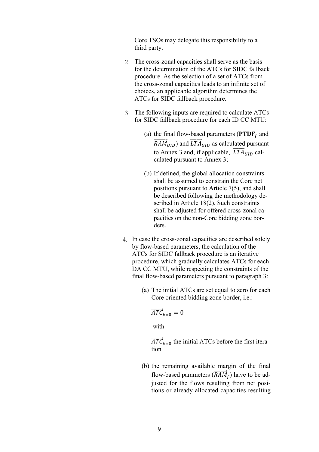Core TSOs may delegate this responsibility to a third party.

- The cross-zonal capacities shall serve as the basis for the determination of the ATCs for SIDC fallback procedure. As the selection of a set of ATCs from the cross-zonal capacities leads to an infinite set of choices, an applicable algorithm determines the ATCs for SIDC fallback procedure.
- The following inputs are required to calculate ATCs for SIDC fallback procedure for each ID CC MTU:
	- (a) the final flow-based parameters ( $\mathbf{PTDF}_f$  and  $\overrightarrow{RAM}_{UID}$ ) and  $\overrightarrow{LTA}_{UID}$  as calculated pursuant to Annex 3 and, if applicable,  $\overrightarrow{LTA}_{UID}$  calculated pursuant to Annex 3;
	- (b) If defined, the global allocation constraints shall be assumed to constrain the Core net positions pursuant to Article 7(5), and shall be described following the methodology described in Article 18(2). Such constraints shall be adjusted for offered cross-zonal capacities on the non-Core bidding zone borders.
- 4. In case the cross-zonal capacities are described solely by flow-based parameters, the calculation of the ATCs for SIDC fallback procedure is an iterative procedure, which gradually calculates ATCs for each DA CC MTU, while respecting the constraints of the final flow-based parameters pursuant to paragraph 3:
	- (a) The initial ATCs are set equal to zero for each Core oriented bidding zone border, i.e.:

$$
\overrightarrow{ATC}_{k=0}=0
$$

with

 $\overrightarrow{ATC}_{k=0}$  the initial ATCs before the first iteration

(b) the remaining available margin of the final flow-based parameters  $(\overrightarrow{RAM}_f)$  have to be adjusted for the flows resulting from net positions or already allocated capacities resulting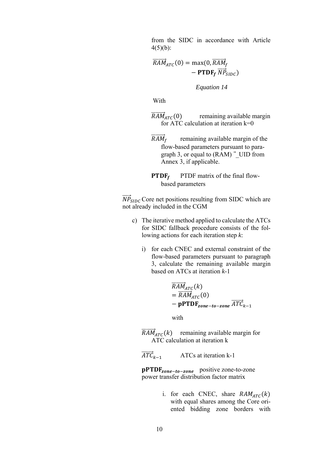from the SIDC in accordance with Article  $4(5)(b)$ :

 $\overrightarrow{RAM}_{ATC}(0) = \max(0, \overrightarrow{RAM}_{f})$  $-$  PTDF<sub>f</sub>  $\overrightarrow{NP}_{SIDC}$ )

*Equation 14* 

With

- $\overline{RAM}_{ATC}(0)$  remaining available margin for ATC calculation at iteration  $k=0$
- $\overline{R}AM_f$  remaining available margin of the flow-based parameters pursuant to paragraph 3, or equal to  $(RAM)^{-1}$  UID from Annex 3, if applicable.
- **PTDF** PTDF matrix of the final flowbased parameters

 $\overrightarrow{NP}_{SIDC}$  Core net positions resulting from SIDC which are not already included in the CGM

- c) The iterative method applied to calculate the ATCs for SIDC fallback procedure consists of the following actions for each iteration step *k*:
	- i) for each CNEC and external constraint of the flow-based parameters pursuant to paragraph 3, calculate the remaining available margin based on ATCs at iteration *k*-1

$$
\overline{RAM}_{ATC}(k)
$$
  
=  $\overline{RAM}_{ATC}(0)$   
- **pPTDF**<sub>zone-to-zone</sub>  $\overline{ATC}_{k-1}$ 

with

 $\overline{RAM}_{ATC}(k)$  remaining available margin for ATC calculation at iteration k

 $\overrightarrow{ATC}_{k-1}$ ATCs at iteration k-1

pPTDF<sub>zone-to-zone</sub> positive zone-to-zone power transfer distribution factor matrix

> i. for each CNEC, share  $RAM_{ATC}(k)$ with equal shares among the Core oriented bidding zone borders with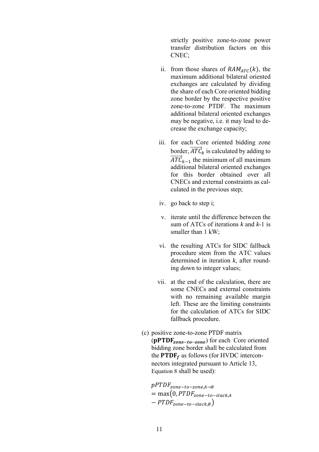strictly positive zone-to-zone power transfer distribution factors on this CNEC;

- ii. from those shares of  $RAM_{ATC}(k)$ , the maximum additional bilateral oriented exchanges are calculated by dividing the share of each Core oriented bidding zone border by the respective positive zone-to-zone PTDF. The maximum additional bilateral oriented exchanges may be negative, i.e. it may lead to decrease the exchange capacity;
- iii. for each Core oriented bidding zone border,  $\overrightarrow{ATC}_k$  is calculated by adding to  $\overrightarrow{ATC}_{k-1}$  the minimum of all maximum additional bilateral oriented exchanges for this border obtained over all CNECs and external constraints as calculated in the previous step;
- iv. go back to step i;
- v. iterate until the difference between the sum of ATCs of iterations *k* and *k*-1 is smaller than 1 kW;
- vi. the resulting ATCs for SIDC fallback procedure stem from the ATC values determined in iteration *k*, after rounding down to integer values;
- vii. at the end of the calculation, there are some CNECs and external constraints with no remaining available margin left. These are the limiting constraints for the calculation of ATCs for SIDC fallback procedure.
- (c) positive zone-to-zone PTDF matrix  $(pPTDF_{zone-tozone})$  for each Core oriented bidding zone border shall be calculated from the **PTDF** $_f$  as follows (for HVDC interconnectors integrated pursuant to Article 13, Equation 8 shall be used):

 $pPTDF_{zone-tozone,A\rightarrow B}$  $= max(0, P T D F_{zone-to-slack,A})$  $-PTDF_{zone-to-slack.B})$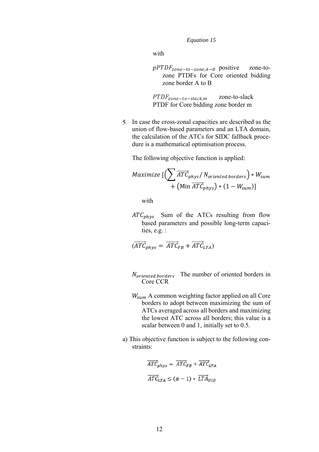*Equation 15* 

with

 $pPTDF_{zone-tozone,A\rightarrow B}$  positive zone-tozone PTDFs for Core oriented bidding zone border A to B

 $PTDF_{zone-to-slack.m}$  zone-to-slack PTDF for Core bidding zone border m

In case the cross-zonal capacities are described as the union of flow-based parameters and an LTA domain, the calculation of the ATCs for SIDC fallback procedure is a mathematical optimisation process.

The following objective function is applied:

$$
Maximize \left[ \left( \sum \overrightarrow{ATC}_{phys} / N_{oriented~borders} \right) * W_{sum} + \left( \text{Min } \overrightarrow{ATC}_{phys} \right) * (1 - W_{sum}) \right]
$$

with

 $ATC<sub>nhvs</sub>$  Sum of the ATCs resulting from flow based parameters and possible long-term capacities, e.g. :

$$
(\overrightarrow{ATC}_{phys} = \overrightarrow{ATC}_{FB} + \overrightarrow{ATC}_{LTA})
$$

- $N_{oriented~borders}$  The number of oriented borders in Core CCR
- $W_{sum}$  A common weighting factor applied on all Core borders to adopt between maximizing the sum of ATCs averaged across all borders and maximizing the lowest ATC across all borders; this value is a scalar between 0 and 1, initially set to 0.5.
- a) This objective function is subject to the following constraints:

$$
\overline{ATC}_{phys} = \overline{ATC}_{FB} + \overline{ATC}_{LTA}
$$

$$
\overline{ATC}_{LTA} \le (\alpha - 1) * \overline{LTA}_{UID}
$$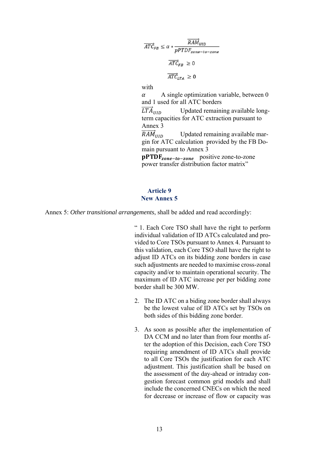$$
\overrightarrow{ATC}_{FB} \le \alpha * \frac{\overrightarrow{RAM}_{UID}}{pPTDF_{zone-to-zone}}
$$
\n
$$
\overrightarrow{ATC}_{FB} \ge 0
$$
\n
$$
\overrightarrow{ATC}_{LTA} \ge 0
$$
\nwith

with

 $\alpha$  A single optimization variable, between 0 and 1 used for all ATC borders

 $LT\AA$ ூ Updated remaining available longterm capacities for ATC extraction pursuant to Annex 3

 $RAM_{\text{HID}}$ ூ Updated remaining available margin for ATC calculation provided by the FB Domain pursuant to Annex 3

 $\text{pPTDF}_{zone-to-zone}$  positive zone-to-zone power transfer distribution factor matrix"

## **Article 9 New Annex 5**

Annex 5: *Other transitional arrangements*, shall be added and read accordingly:

 " 1. Each Core TSO shall have the right to perform individual validation of ID ATCs calculated and provided to Core TSOs pursuant to Annex 4. Pursuant to this validation, each Core TSO shall have the right to adjust ID ATCs on its bidding zone borders in case such adjustments are needed to maximise cross-zonal capacity and/or to maintain operational security. The maximum of ID ATC increase per per bidding zone border shall be 300 MW.

- 2. The ID ATC on a biding zone border shall always be the lowest value of ID ATCs set by TSOs on both sides of this bidding zone border.
- 3. As soon as possible after the implementation of DA CCM and no later than from four months after the adoption of this Decision, each Core TSO requiring amendment of ID ATCs shall provide to all Core TSOs the justification for each ATC adjustment. This justification shall be based on the assessment of the day-ahead or intraday congestion forecast common grid models and shall include the concerned CNECs on which the need for decrease or increase of flow or capacity was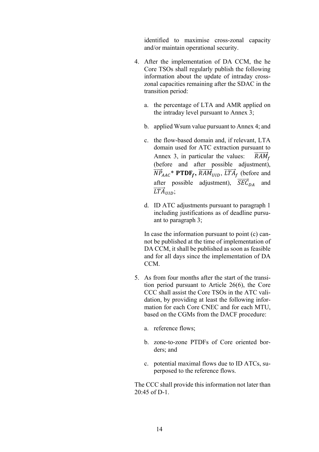identified to maximise cross-zonal capacity and/or maintain operational security.

- 4. After the implementation of DA CCM, the he Core TSOs shall regularly publish the following information about the update of intraday crosszonal capacities remaining after the SDAC in the transition period:
	- a. the percentage of LTA and AMR applied on the intraday level pursuant to Annex 3;
	- b. applied Wsum value pursuant to Annex 4; and
	- c. the flow-based domain and, if relevant, LTA domain used for ATC extraction pursuant to Annex 3, in particular the values:  $RAM<sub>f</sub>$ (before and after possible adjustment),  $\overrightarrow{NP}_{AAC}^*$  **PTDF**<sub>f</sub>,  $\overrightarrow{RAM}_{UID}$ ,  $\overrightarrow{LTA}_f$  (before and after possible adjustment),  $\overrightarrow{SEC}_{DA}$  and  $\overrightarrow{LTA}_{UID};$
	- d. ID ATC adjustments pursuant to paragraph 1 including justifications as of deadline pursuant to paragraph 3;

In case the information pursuant to point (c) cannot be published at the time of implementation of DA CCM, it shall be published as soon as feasible and for all days since the implementation of DA CCM.

- 5. As from four months after the start of the transition period pursuant to Article 26(6), the Core CCC shall assist the Core TSOs in the ATC validation, by providing at least the following information for each Core CNEC and for each MTU, based on the CGMs from the DACF procedure:
	- a. reference flows;
	- b. zone-to-zone PTDFs of Core oriented borders; and
	- c. potential maximal flows due to ID ATCs, superposed to the reference flows.

The CCC shall provide this information not later than 20:45 of D-1.